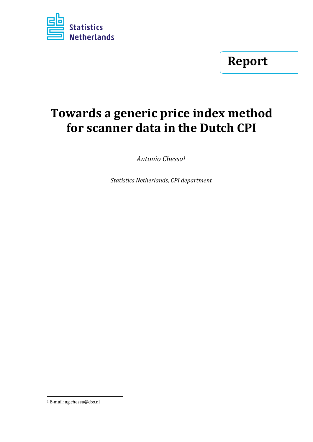

# **Report**

# **Towards a generic price index method for scanner data in the Dutch CPI**

*Antonio Chessa1*

*Statistics Netherlands, CPI department*

<u> Andrew Maria (1989)</u>

<sup>&</sup>lt;sup>1</sup> E-mail: ag.chessa@cbs.nl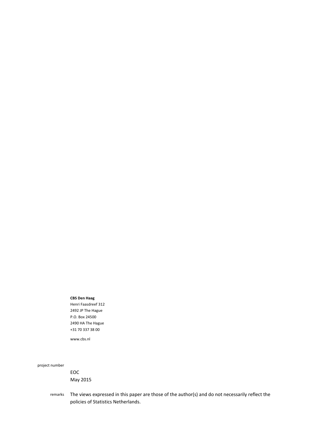#### **CBS Den Haag**

Henri Faasdreef 312 2492 JP The Hague P.O. Box 24500 2490 HA The Hague +31 70 337 38 00

www.cbs.nl

#### project number

EOC May 2015

remarks The views expressed in this paper are those of the author(s) and do not necessarily reflect the policies of Statistics Netherlands.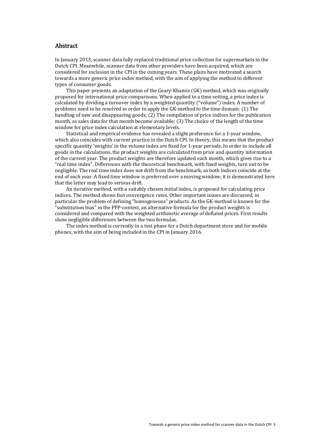#### Abstract

In January 2013, scanner data fully replaced traditional price collection for supermarkets in the Dutch CPI. Meanwhile, scanner data from other providers have been acquired, which are considered for inclusion in the CPI in the coming years. These plans have motivated a search towards a more generic price index method, with the aim of applying the method to different types of consumer goods.

This paper presents an adaptation of the Geary-Khamis  $(GK)$  method, which was originally proposed for international price comparisons. When applied to a time setting, a price index is calculated by dividing a turnover index by a weighted quantity ("volume") index. A number of problems need to be resolved in order to apply the GK-method to the time domain: (1) The handling of new and disappearing goods; (2) The compilation of price indices for the publication month, as sales data for that month become available; (3) The choice of the length of the time window for price index calculation at elementary levels.

Statistical and empirical evidence has revealed a slight preference for a 1-year window, which also coincides with current practice in the Dutch CPI. In theory, this means that the product specific quantity 'weights' in the volume index are fixed for 1-year periods. In order to include all goods in the calculations, the product weights are calculated from price and quantity information of the current year. The product weights are therefore updated each month, which gives rise to a "real time index". Differences with the theoretical benchmark, with fixed weights, turn out to be negligible. The real time index does not drift from the benchmark, as both indices coincide at the end of each year. A fixed time window is preferred over a moving window; it is demonstrated here that the latter may lead to serious drift.

An iterative method, with a suitably chosen initial index, is proposed for calculating price indices. The method shows fast convergence rates. Other important issues are discussed, in particular the problem of defining "homogeneous" products. As the GK-method is known for the "substitution bias" in the PPP-context, an alternative formula for the product weights is considered and compared with the weighted arithmetic average of deflated prices. First results show negligible differences between the two formulas.

The index method is currently in a test phase for a Dutch department store and for mobile phones, with the aim of being included in the CPI in January 2016.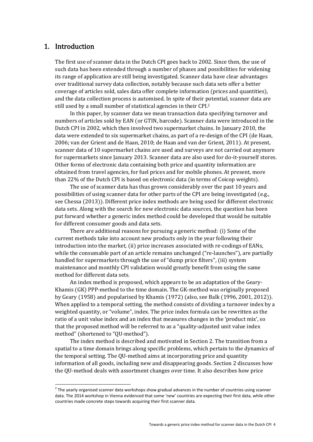## 1. Introduction

The first use of scanner data in the Dutch CPI goes back to 2002. Since then, the use of such data has been extended through a number of phases and possibilities for widening its range of application are still being investigated. Scanner data have clear advantages over traditional survey data collection, notably because such data sets offer a better coverage of articles sold, sales data offer complete information (prices and quantities), and the data collection process is automised. In spite of their potential, scanner data are still used by a small number of statistical agencies in their CPI.<sup>2</sup>

In this paper, by scanner data we mean transaction data specifying turnover and numbers of articles sold by EAN (or GTIN, barcode). Scanner data were introduced in the Dutch CPI in 2002, which then involved two supermarket chains. In January 2010, the data were extended to six supermarket chains, as part of a re-design of the CPI (de Haan, 2006; van der Grient and de Haan, 2010; de Haan and van der Grient, 2011). At present, scanner data of 10 supermarket chains are used and surveys are not carried out anymore for supermarkets since January 2013. Scanner data are also used for do-it-yourself stores. Other forms of electronic data containing both price and quantity information are obtained from travel agencies, for fuel prices and for mobile phones. At present, more than 22% of the Dutch CPI is based on electronic data (in terms of Coicop weights).

The use of scanner data has thus grown considerably over the past 10 years and possibilities of using scanner data for other parts of the CPI are being investigated (e.g., see Chessa (2013)). Different price index methods are being used for different electronic data sets. Along with the search for new electronic data sources, the question has been put forward whether a generic index method could be developed that would be suitable for different consumer goods and data sets.

There are additional reasons for pursuing a generic method: (i) Some of the current methods take into account new products only in the year following their introduction into the market, (ii) price increases associated with re-codings of EANs, while the consumable part of an article remains unchanged ("re-launches"), are partially handled for supermarkets through the use of "dump price filters", (iii) system maintenance and monthly CPI validation would greatly benefit from using the same method for different data sets.

An index method is proposed, which appears to be an adaptation of the Geary-Khamis  $(GK)$  PPP-method to the time domain. The GK-method was originally proposed by Geary  $(1958)$  and popularised by Khamis  $(1972)$  (also, see Balk  $(1996, 2001, 2012)$ ). When applied to a temporal setting, the method consists of dividing a turnover index by a weighted quantity, or "volume", index. The price index formula can be rewritten as the ratio of a unit value index and an index that measures changes in the 'product mix', so that the proposed method will be referred to as a "quality-adjusted unit value index method" (shortened to "QU-method").

The index method is described and motivated in Section 2. The transition from a spatial to a time domain brings along specific problems, which pertain to the dynamics of the temporal setting. The QU-method aims at incorporating price and quantity information of all goods, including new and disappearing goods. Section 2 discusses how the QU-method deals with assortment changes over time. It also describes how price

 $2$  The yearly organised scanner data workshops show gradual advances in the number of countries using scanner data. The 2014 workshop in Vienna evidenced that some 'new' countries are expecting their first data, while other countries made concrete steps towards acquiring their first scanner data.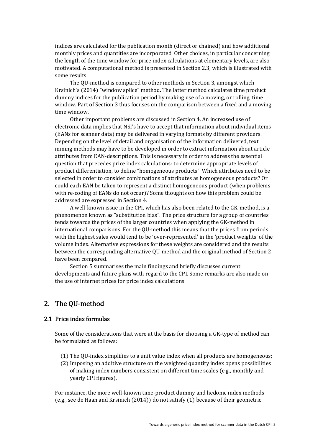indices are calculated for the publication month (direct or chained) and how additional monthly prices and quantities are incorporated. Other choices, in particular concerning the length of the time window for price index calculations at elementary levels, are also motivated. A computational method is presented in Section 2.3, which is illustrated with some results.

The QU-method is compared to other methods in Section 3, amongst which Krsinich's (2014) "window splice" method. The latter method calculates time product dummy indices for the publication period by making use of a moving, or rolling, time window. Part of Section 3 thus focuses on the comparison between a fixed and a moving time window.

Other important problems are discussed in Section 4. An increased use of electronic data implies that NSI's have to accept that information about individual items (EANs for scanner data) may be delivered in varying formats by different providers. Depending on the level of detail and organisation of the information delivered, text mining methods may have to be developed in order to extract information about article attributes from EAN-descriptions. This is necessary in order to address the essential question that precedes price index calculations: to determine appropriate levels of product differentiation, to define "homogeneous products". Which attributes need to be selected in order to consider combinations of attributes as homogeneous products? Or could each EAN be taken to represent a distinct homogeneous product (when problems with re-coding of EANs do not occur)? Some thoughts on how this problem could be addressed are expressed in Section 4.

A well-known issue in the CPI, which has also been related to the GK-method, is a phenomenon known as "substitution bias". The price structure for a group of countries tends towards the prices of the larger countries when applying the GK-method in international comparisons. For the QU-method this means that the prices from periods with the highest sales would tend to be 'over-represented' in the 'product weights' of the volume index. Alternative expressions for these weights are considered and the results between the corresponding alternative QU-method and the original method of Section 2 have been compared.

Section 5 summarises the main findings and briefly discusses current developments and future plans with regard to the CPI. Some remarks are also made on the use of internet prices for price index calculations.

# 2. The QU-method

## 2.1 Price index formulas

Some of the considerations that were at the basis for choosing a GK-type of method can be formulated as follows:

- $(1)$  The QU-index simplifies to a unit value index when all products are homogeneous;
- (2) Imposing an additive structure on the weighted quantity index opens possibilities of making index numbers consistent on different time scales (e.g., monthly and yearly CPI figures).

For instance, the more well-known time-product dummy and hedonic index methods (e.g., see de Haan and Krsinich  $(2014)$ ) do not satisfy  $(1)$  because of their geometric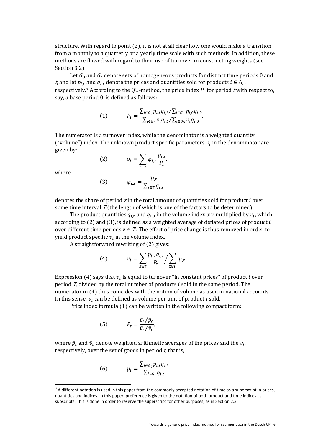structure. With regard to point  $(2)$ , it is not at all clear how one would make a transition from a monthly to a quarterly or a yearly time scale with such methods. In addition, these methods are flawed with regard to their use of turnover in constructing weights (see Section 3.2).

Let  $G_0$  and  $G_t$  denote sets of homogeneous products for distinct time periods 0 and *t*, and let  $p_{i,t}$  and  $q_{i,t}$  denote the prices and quantities sold for products  $i \in G_t$ , respectively.<sup>3</sup> According to the QU-method, the price index  $P_t$  for period *t* with respect to, say, a base period 0, is defined as follows:

(1) 
$$
P_t = \frac{\sum_{i \in G_t} p_{i,t} q_{i,t} / \sum_{i \in G_0} p_{i,0} q_{i,0}}{\sum_{i \in G_t} v_i q_{i,t} / \sum_{i \in G_0} v_i q_{i,0}}.
$$

The numerator is a turnover index, while the denominator is a weighted quantity ("volume") index. The unknown product specific parameters  $v_i$  in the denominator are given by:

$$
(2) \t v_i = \sum_{z \in T} \varphi_{i,z} \frac{p_{i,z}}{P_z},
$$

where 

$$
(3) \qquad \varphi_{i,z} = \frac{q_{i,z}}{\sum_{s \in T} q_{i,s}}
$$

denotes the share of period z in the total amount of quantities sold for product  $i$  over some time interval  $T$ (the length of which is one of the factors to be determined).

The product quantities  $q_{i,t}$  and  $q_{i,0}$  in the volume index are multiplied by  $v_i$ , which, according to  $(2)$  and  $(3)$ , is defined as a weighted average of deflated prices of product  $i$ over different time periods  $z \in T$ . The effect of price change is thus removed in order to yield product specific  $v_i$  in the volume index.

A straightforward rewriting of  $(2)$  gives:

$$
(4) \t v_i = \sum_{z \in T} \frac{p_{i,z} q_{i,z}}{P_z} / \sum_{z \in T} q_{i,z}.
$$

Expression (4) says that  $v_i$  is equal to turnover "in constant prices" of product *i* over period  $T$ , divided by the total number of products  $i$  sold in the same period. The numerator in  $(4)$  thus coincides with the notion of volume as used in national accounts. In this sense,  $v_i$  can be defined as volume per unit of product i sold.

Price index formula  $(1)$  can be written in the following compact form:

(5) 
$$
P_t = \frac{\bar{p}_t / \bar{p}_0}{\bar{v}_t / \bar{v}_0},
$$

where  $\bar p_t$  and  $\bar v_t$  denote weighted arithmetic averages of the prices and the  $v_i$ , respectively, over the set of goods in period  $t$ , that is,

(6) 
$$
\bar{p}_t = \frac{\sum_{i \in G_t} p_{i,t} q_{i,t}}{\sum_{i \in G_t} q_{i,t}},
$$

 $3$  A different notation is used in this paper from the commonly accepted notation of time as a superscript in prices, quantities and indices. In this paper, preference is given to the notation of both product and time indices as subscripts. This is done in order to reserve the superscript for other purposes, as in Section 2.3.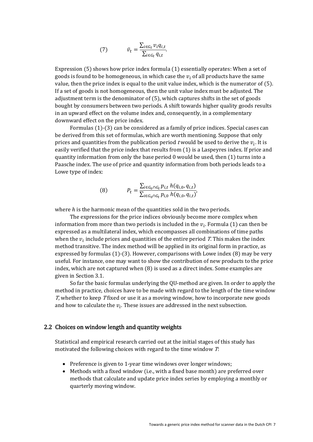(7) 
$$
\bar{v}_t = \frac{\sum_{i \in G_t} v_i q_{i,t}}{\sum_{i \in G_t} q_{i,t}}.
$$

Expression  $(5)$  shows how price index formula  $(1)$  essentially operates: When a set of goods is found to be homogeneous, in which case the  $v_i$  of all products have the same value, then the price index is equal to the unit value index, which is the numerator of  $(5)$ . If a set of goods is not homogeneous, then the unit value index must be adjusted. The adjustment term is the denominator of  $(5)$ , which captures shifts in the set of goods bought by consumers between two periods. A shift towards higher quality goods results in an upward effect on the volume index and, consequently, in a complementary downward effect on the price index.

Formulas (1)-(3) can be considered as a family of price indices. Special cases can be derived from this set of formulas, which are worth mentioning. Suppose that only prices and quantities from the publication period t would be used to derive the  $v_i$ . It is easily verified that the price index that results from (1) is a Laspeyres index. If price and quantity information from only the base period  $0$  would be used, then  $(1)$  turns into a Paasche index. The use of price and quantity information from both periods leads to a Lowe type of index:

(8) 
$$
P_t = \frac{\sum_{i \in G_0 \cap G_t} p_{i,t} h(q_{i,0}, q_{i,t})}{\sum_{i \in G_0 \cap G_t} p_{i,0} h(q_{i,0}, q_{i,t})'}
$$

where  $h$  is the harmonic mean of the quantities sold in the two periods.

The expressions for the price indices obviously become more complex when information from more than two periods is included in the  $v_i$ . Formula (1) can then be expressed as a multilateral index, which encompasses all combinations of time paths when the  $v_i$  include prices and quantities of the entire period T. This makes the index method transitive. The index method will be applied in its original form in practice, as expressed by formulas  $(1)-(3)$ . However, comparisons with Lowe index  $(8)$  may be very useful. For instance, one may want to show the contribution of new products to the price index, which are not captured when  $(8)$  is used as a direct index. Some examples are given in Section 3.1.

So far the basic formulas underlying the QU-method are given. In order to apply the method in practice, choices have to be made with regard to the length of the time window  $T$ , whether to keep  $T$  fixed or use it as a moving window, how to incorporate new goods and how to calculate the  $v_i$ . These issues are addressed in the next subsection.

## 2.2 Choices on window length and quantity weights

Statistical and empirical research carried out at the initial stages of this study has motivated the following choices with regard to the time window  $T$ :

- Preference is given to 1-year time windows over longer windows;
- Methods with a fixed window (i.e., with a fixed base month) are preferred over methods that calculate and update price index series by employing a monthly or quarterly moving window.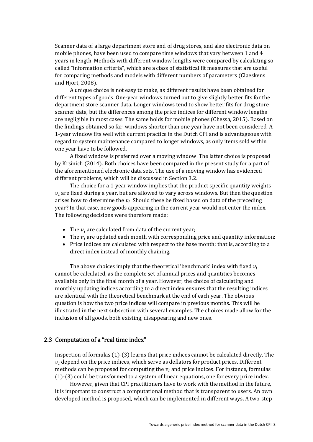Scanner data of a large department store and of drug stores, and also electronic data on mobile phones, have been used to compare time windows that vary between 1 and 4 years in length. Methods with different window lengths were compared by calculating socalled "information criteria", which are a class of statistical fit measures that are useful for comparing methods and models with different numbers of parameters (Claeskens and Hjort, 2008).

A unique choice is not easy to make, as different results have been obtained for different types of goods. One-year windows turned out to give slightly better fits for the department store scanner data. Longer windows tend to show better fits for drug store scanner data, but the differences among the price indices for different window lengths are negligible in most cases. The same holds for mobile phones (Chessa, 2015). Based on the findings obtained so far, windows shorter than one year have not been considered. A 1-year window fits well with current practice in the Dutch CPI and is advantageous with regard to system maintenance compared to longer windows, as only items sold within one year have to be followed.

A fixed window is preferred over a moving window. The latter choice is proposed by Krsinich (2014). Both choices have been compared in the present study for a part of the aforementioned electronic data sets. The use of a moving window has evidenced different problems, which will be discussed in Section 3.2.

The choice for a 1-year window implies that the product specific quantity weights  $v_i$  are fixed during a year, but are allowed to vary across windows. But then the question arises how to determine the  $v_i$ . Should these be fixed based on data of the preceding year? In that case, new goods appearing in the current year would not enter the index. The following decisions were therefore made:

- The  $v_i$  are calculated from data of the current year;
- The  $v_i$  are updated each month with corresponding price and quantity information;
- Price indices are calculated with respect to the base month; that is, according to a direct index instead of monthly chaining.

The above choices imply that the theoretical 'benchmark' index with fixed  $v_i$ cannot be calculated, as the complete set of annual prices and quantities becomes available only in the final month of a year. However, the choice of calculating and monthly updating indices according to a direct index ensures that the resulting indices are identical with the theoretical benchmark at the end of each year. The obvious question is how the two price indices will compare in previous months. This will be illustrated in the next subsection with several examples. The choices made allow for the inclusion of all goods, both existing, disappearing and new ones.

### 2.3 Computation of a "real time index"

Inspection of formulas  $(1)-(3)$  learns that price indices cannot be calculated directly. The  $v_i$  depend on the price indices, which serve as deflators for product prices. Different methods can be proposed for computing the  $v_i$  and price indices. For instance, formulas  $(1)$ - $(3)$  could be transformed to a system of linear equations, one for every price index.

However, given that CPI practitioners have to work with the method in the future, it is important to construct a computational method that is transparent to users. An own developed method is proposed, which can be implemented in different ways. A two-step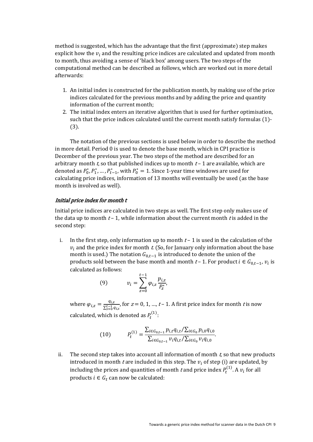method is suggested, which has the advantage that the first (approximate) step makes explicit how the  $v_i$  and the resulting price indices are calculated and updated from month to month, thus avoiding a sense of 'black box' among users. The two steps of the computational method can be described as follows, which are worked out in more detail afterwards: 

- 1. An initial index is constructed for the publication month, by making use of the price indices calculated for the previous months and by adding the price and quantity information of the current month;
- 2. The initial index enters an iterative algorithm that is used for further optimisation, such that the price indices calculated until the current month satisfy formulas (1)- $(3).$

The notation of the previous sections is used below in order to describe the method in more detail. Period 0 is used to denote the base month, which in CPI practice is December of the previous year. The two steps of the method are described for an arbitrary month  $t$ , so that published indices up to month  $t-1$  are available, which are denoted as  $P_0^*, P_1^*, \ldots, P_{t-1}^*$ , with  $P_0^* = 1$ . Since 1-year time windows are used for calculating price indices, information of 13 months will eventually be used (as the base month is involved as well).

## Initial price index for month t

Initial price indices are calculated in two steps as well. The first step only makes use of the data up to month  $t-1$ , while information about the current month t is added in the second step:

i. In the first step, only information up to month  $t-1$  is used in the calculation of the  $v_i$  and the price index for month t. (So, for January only information about the base month is used.) The notation  $G_{0,t-1}$  is introduced to denote the union of the products sold between the base month and month  $t-1$ . For product  $i \in G_{0,t-1}$ ,  $v_i$  is calculated as follows:

(9) 
$$
v_i = \sum_{z=0}^{t-1} \varphi_{i,z} \frac{p_{i,z}}{P_z^*},
$$

where  $\varphi_{i,z} = \frac{q_{i,z}}{\sum_{s=0}^{t-1} q_{i,s}}$ , for  $z = 0, 1, ..., t-1$ . A first price index for month *t* is now calculated, which is denoted as  $P_t^{(1)}$ :

(10) 
$$
P_t^{(1)} = \frac{\sum_{i \in G_{0,t-1}} p_{i,t} q_{i,t} / \sum_{i \in G_0} p_{i,0} q_{i,0}}{\sum_{i \in G_{0,t-1}} v_i q_{i,t} / \sum_{i \in G_0} v_i q_{i,0}}.
$$

ii. The second step takes into account all information of month  $t$ , so that new products introduced in month *t* are included in this step. The  $v_i$  of step (i) are updated, by including the prices and quantities of month  $t$  and price index  $P_t^{(1)}$ . A  $v_i$  for all products  $i \in G_t$  can now be calculated: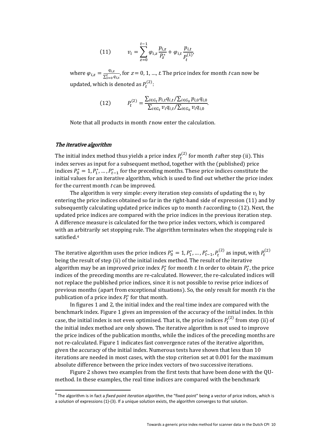(11) 
$$
v_i = \sum_{z=0}^{t-1} \varphi_{i,z} \frac{p_{i,z}}{P_z^*} + \varphi_{i,t} \frac{p_{i,t}}{P_t^{(1)}},
$$

where  $\varphi_{i,z} = \frac{q_{i,z}}{\sum_{s=0}^{t} q_{i,s}}$ , for  $z = 0, 1, ..., t$ . The price index for month t can now be updated, which is denoted as  $P_t^{(2)}$ :

(12) 
$$
P_t^{(2)} = \frac{\sum_{i \in G_t} p_{i,t} q_{i,t} / \sum_{i \in G_0} p_{i,0} q_{i,0}}{\sum_{i \in G_t} v_i q_{i,t} / \sum_{i \in G_0} v_i q_{i,0}}.
$$

Note that all products in month  $t$  now enter the calculation.

#### The iterative algorithm

The initial index method thus yields a price index  $P_t^{\rm (2)}$  for month  $t$  after step (ii). This index serves as input for a subsequent method, together with the (published) price indices  $P_0^* = 1, P_1^*, ..., P_{t-1}^*$  for the preceding months. These price indices constitute the initial values for an iterative algorithm, which is used to find out whether the price index for the current month  $t$  can be improved.

The algorithm is very simple: every iteration step consists of updating the  $v_i$  by entering the price indices obtained so far in the right-hand side of expression  $(11)$  and by subsequently calculating updated price indices up to month  $t$  according to (12). Next, the updated price indices are compared with the price indices in the previous iteration step. A difference measure is calculated for the two price index vectors, which is compared with an arbitrarily set stopping rule. The algorithm terminates when the stopping rule is satisfied.4

The iterative algorithm uses the price indices  $P_0^* = 1$ ,  $P_1^*$ , ...,  $P_{t-1}^*$ ,  $P_t^{(2)}$  as input, with  $P_t^{(2)}$ being the result of step (ii) of the initial index method. The result of the iterative algorithm may be an improved price index  $P_t^*$  for month  $t$ . In order to obtain  $P_t^*$ , the price indices of the preceding months are re-calculated. However, the re-calculated indices will not replace the published price indices, since it is not possible to revise price indices of previous months (apart from exceptional situations). So, the only result for month  $t$  is the publication of a price index  $P_t^*$  for that month.

In figures 1 and 2, the initial index and the real time index are compared with the benchmark index. Figure 1 gives an impression of the accuracy of the initial index. In this case, the initial index is not even optimised. That is, the price indices  $P_t^{(2)}$  from step (ii) of the initial index method are only shown. The iterative algorithm is not used to improve the price indices of the publication months, while the indices of the preceding months are not re-calculated. Figure 1 indicates fast convergence rates of the iterative algorithm, given the accuracy of the initial index. Numerous tests have shown that less than 10 iterations are needed in most cases, with the stop criterion set at  $0.001$  for the maximum absolute difference between the price index vectors of two successive iterations.

Figure 2 shows two examples from the first tests that have been done with the QUmethod. In these examples, the real time indices are compared with the benchmark

 <sup>4</sup> The algorithm is in fact <sup>a</sup> *fixed point iteration algorithm*, the "fixed point" being <sup>a</sup> vector of price indices, which is a solution of expressions (1)‐(3). If a unique solution exists, the algorithm converges to that solution.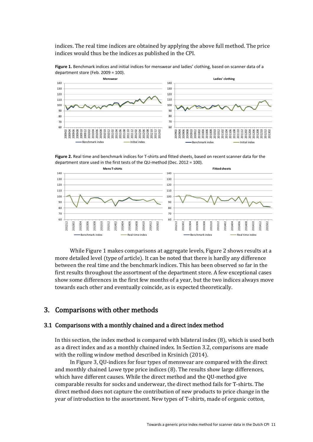indices. The real time indices are obtained by applying the above full method. The price indices would thus be the indices as published in the CPI.



**Figure 1.** Benchmark indices and initial indices for menswear and ladies' clothing, based on scanner data of a department store (Feb. 2009 = 100).

**Figure 2.** Real time and benchmark indices for T‐shirts and fitted sheets, based on recent scanner data for the department store used in the first tests of the QU-method (Dec. 2012 = 100).



While Figure 1 makes comparisons at aggregate levels, Figure 2 shows results at a more detailed level (type of article). It can be noted that there is hardly any difference between the real time and the benchmark indices. This has been observed so far in the first results throughout the assortment of the department store. A few exceptional cases show some differences in the first few months of a year, but the two indices always move towards each other and eventually coincide, as is expected theoretically.

## 3. Comparisons with other methods

#### 3.1 Comparisons with a monthly chained and a direct index method

In this section, the index method is compared with bilateral index  $(8)$ , which is used both as a direct index and as a monthly chained index. In Section 3.2, comparisons are made with the rolling window method described in Krsinich (2014).

In Figure 3,  $QU$ -indices for four types of menswear are compared with the direct and monthly chained Lowe type price indices  $(8)$ . The results show large differences, which have different causes. While the direct method and the OU-method give comparable results for socks and underwear, the direct method fails for T-shirts. The direct method does not capture the contribution of new products to price change in the year of introduction to the assortment. New types of T-shirts, made of organic cotton,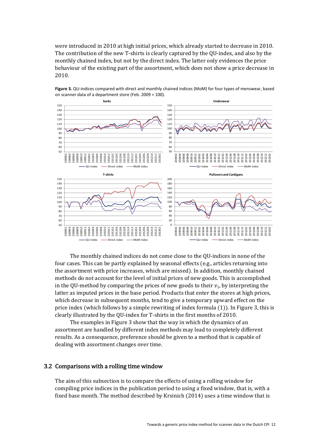were introduced in 2010 at high initial prices, which already started to decrease in 2010. The contribution of the new T-shirts is clearly captured by the QU-index, and also by the monthly chained index, but not by the direct index. The latter only evidences the price behaviour of the existing part of the assortment, which does not show a price decrease in 2010. 



**Figure 3.** QU‐indices compared with direct and monthly chained indices (MoM) for four types of menswear, based on scanner data of a department store (Feb. 2009 = 100).

The monthly chained indices do not come close to the QU-indices in none of the four cases. This can be partly explained by seasonal effects  $(e.g.,$  articles returning into the assortment with price increases, which are missed). In addition, monthly chained methods do not account for the level of initial prices of new goods. This is accomplished in the QU-method by comparing the prices of new goods to their  $v_i$ , by interpreting the latter as imputed prices in the base period. Products that enter the stores at high prices, which decrease in subsequent months, tend to give a temporary upward effect on the price index (which follows by a simple rewriting of index formula  $(1)$ ). In Figure 3, this is clearly illustrated by the OU-index for T-shirts in the first months of 2010.

The examples in Figure 3 show that the way in which the dynamics of an assortment are handled by different index methods may lead to completely different results. As a consequence, preference should be given to a method that is capable of dealing with assortment changes over time.

#### 3.2 Comparisons with a rolling time window

The aim of this subsection is to compare the effects of using a rolling window for compiling price indices in the publication period to using a fixed window, that is, with a fixed base month. The method described by Krsinich  $(2014)$  uses a time window that is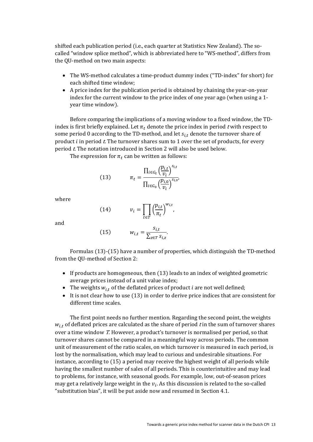shifted each publication period (i.e., each quarter at Statistics New Zealand). The socalled "window splice method", which is abbreviated here to "WS-method", differs from the OU-method on two main aspects:

- The WS-method calculates a time-product dummy index ("TD-index" for short) for each shifted time window;
- A price index for the publication period is obtained by chaining the year-on-year index for the current window to the price index of one year ago (when using a 1year time window).

Before comparing the implications of a moving window to a fixed window, the TDindex is first briefly explained. Let  $\pi_t$  denote the price index in period twith respect to some period 0 according to the TD-method, and let  $s_{i,t}$  denote the turnover share of product  $i$  in period  $t$ . The turnover shares sum to 1 over the set of products, for every period *t*. The notation introduced in Section 2 will also be used below.

The expression for  $\pi_t$  can be written as follows:

(13) 
$$
\pi_t = \frac{\prod_{i \in G_t} \left(\frac{p_{i,t}}{v_i}\right)^{s_{i,t}}}{\prod_{i \in G_0} \left(\frac{p_{i,0}}{v_i}\right)^{s_{i,0}}},
$$

where 

(14) 
$$
v_i = \prod_{t \in T} \left(\frac{p_{i,t}}{\pi_t}\right)^{w_{i,t}},
$$

and 

$$
(15) \t\t w_{i,t} = \frac{s_{i,t}}{\sum_{z \in T} s_{i,z}}.
$$

Formulas (13)-(15) have a number of properties, which distinguish the TD-method from the QU-method of Section 2:

- If products are homogeneous, then  $(13)$  leads to an index of weighted geometric average prices instead of a unit value index;
- The weights  $w_{i,t}$  of the deflated prices of product *i* are not well defined;
- It is not clear how to use  $(13)$  in order to derive price indices that are consistent for different time scales

The first point needs no further mention. Regarding the second point, the weights  $w_{i,t}$  of deflated prices are calculated as the share of period *t* in the sum of turnover shares over a time window T. However, a product's turnover is normalised per period, so that turnover shares cannot be compared in a meaningful way across periods. The common unit of measurement of the ratio scales, on which turnover is measured in each period, is lost by the normalisation, which may lead to curious and undesirable situations. For instance, according to  $(15)$  a period may receive the highest weight of all periods while having the smallest number of sales of all periods. This is counterintuitive and may lead to problems, for instance, with seasonal goods. For example, low, out-of-season prices may get a relatively large weight in the  $v_i$ . As this discussion is related to the so-called "substitution bias", it will be put aside now and resumed in Section 4.1.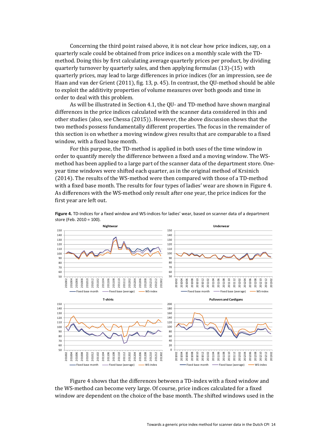Concerning the third point raised above, it is not clear how price indices, say, on a quarterly scale could be obtained from price indices on a monthly scale with the TDmethod. Doing this by first calculating average quarterly prices per product, by dividing quarterly turnover by quarterly sales, and then applying formulas  $(13)-(15)$  with quarterly prices, may lead to large differences in price indices (for an impression, see de Haan and van der Grient  $(2011)$ , fig. 13, p. 45). In contrast, the QU-method should be able to exploit the additivity properties of volume measures over both goods and time in order to deal with this problem.

As will be illustrated in Section 4.1, the QU- and TD-method have shown marginal differences in the price indices calculated with the scanner data considered in this and other studies (also, see Chessa (2015)). However, the above discussion shows that the two methods possess fundamentally different properties. The focus in the remainder of this section is on whether a moving window gives results that are comparable to a fixed window, with a fixed base month.

For this purpose, the TD-method is applied in both uses of the time window in order to quantify merely the difference between a fixed and a moving window. The WSmethod has been applied to a large part of the scanner data of the department store. Oneyear time windows were shifted each quarter, as in the original method of Krsinich  $(2014)$ . The results of the WS-method were then compared with those of a TD-method with a fixed base month. The results for four types of ladies' wear are shown in Figure 4. As differences with the WS-method only result after one year, the price indices for the first year are left out.



**Figure 4.** TD‐indices for a fixed window and WS‐indices for ladies' wear, based on scanner data of a department store (Feb. 2010 = 100).

Figure 4 shows that the differences between a TD-index with a fixed window and the WS-method can become very large. Of course, price indices calculated for a fixed window are dependent on the choice of the base month. The shifted windows used in the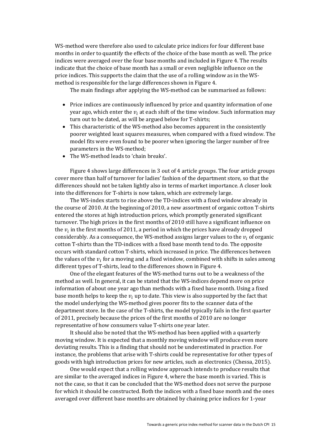WS-method were therefore also used to calculate price indices for four different base months in order to quantify the effects of the choice of the base month as well. The price indices were averaged over the four base months and included in Figure 4. The results indicate that the choice of base month has a small or even negligible influence on the price indices. This supports the claim that the use of a rolling window as in the WSmethod is responsible for the large differences shown in Figure 4.

The main findings after applying the WS-method can be summarised as follows:

- Price indices are continuously influenced by price and quantity information of one year ago, which enter the  $v_i$  at each shift of the time window. Such information may turn out to be dated, as will be argued below for T-shirts;
- This characteristic of the WS-method also becomes apparent in the consistently poorer weighted least squares measures, when compared with a fixed window. The model fits were even found to be poorer when ignoring the larger number of free parameters in the WS-method;
- The WS-method leads to 'chain breaks'.

Figure 4 shows large differences in 3 out of 4 article groups. The four article groups cover more than half of turnover for ladies' fashion of the department store, so that the differences should not be taken lightly also in terms of market importance. A closer look into the differences for T-shirts is now taken, which are extremely large.

The WS-index starts to rise above the TD-indices with a fixed window already in the course of 2010. At the beginning of 2010, a new assortment of organic cotton T-shirts entered the stores at high introduction prices, which promptly generated significant turnover. The high prices in the first months of 2010 still have a significant influence on the  $v_i$  in the first months of 2011, a period in which the prices have already dropped considerably. As a consequence, the WS-method assigns larger values to the  $v_i$  of organic cotton T-shirts than the TD-indices with a fixed base month tend to do. The opposite occurs with standard cotton T-shirts, which increased in price. The differences between the values of the  $v_i$  for a moving and a fixed window, combined with shifts in sales among different types of T-shirts, lead to the differences shown in Figure 4.

One of the elegant features of the WS-method turns out to be a weakness of the method as well. In general, it can be stated that the WS-indices depend more on price information of about one year ago than methods with a fixed base month. Using a fixed base month helps to keep the  $v_i$  up to date. This view is also supported by the fact that the model underlying the WS-method gives poorer fits to the scanner data of the department store. In the case of the T-shirts, the model typically fails in the first quarter of 2011, precisely because the prices of the first months of 2010 are no longer representative of how consumers value T-shirts one year later.

It should also be noted that the WS-method has been applied with a quarterly moving window. It is expected that a monthly moving window will produce even more deviating results. This is a finding that should not be underestimated in practice. For instance, the problems that arise with T-shirts could be representative for other types of goods with high introduction prices for new articles, such as electronics (Chessa, 2015).

One would expect that a rolling window approach intends to produce results that are similar to the averaged indices in Figure 4, where the base month is varied. This is not the case, so that it can be concluded that the WS-method does not serve the purpose for which it should be constructed. Both the indices with a fixed base month and the ones averaged over different base months are obtained by chaining price indices for 1-year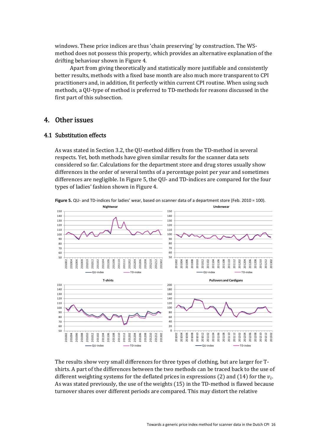windows. These price indices are thus 'chain preserving' by construction. The WSmethod does not possess this property, which provides an alternative explanation of the drifting behaviour shown in Figure 4.

Apart from giving theoretically and statistically more justifiable and consistently better results, methods with a fixed base month are also much more transparent to CPI practitioners and, in addition, fit perfectly within current CPI routine. When using such methods, a QU-type of method is preferred to TD-methods for reasons discussed in the first part of this subsection.

## 4. Other issues

#### 4.1 Substitution effects

As was stated in Section 3.2, the QU-method differs from the TD-method in several respects. Yet, both methods have given similar results for the scanner data sets considered so far. Calculations for the department store and drug stores usually show differences in the order of several tenths of a percentage point per year and sometimes differences are negligible. In Figure 5, the QU- and TD-indices are compared for the four types of ladies' fashion shown in Figure 4.



**Figure 5.** QU- and TD-indices for ladies' wear, based on scanner data of a department store (Feb. 2010 = 100).

The results show very small differences for three types of clothing, but are larger for Tshirts. A part of the differences between the two methods can be traced back to the use of different weighting systems for the deflated prices in expressions (2) and (14) for the  $v_i$ . As was stated previously, the use of the weights  $(15)$  in the TD-method is flawed because turnover shares over different periods are compared. This may distort the relative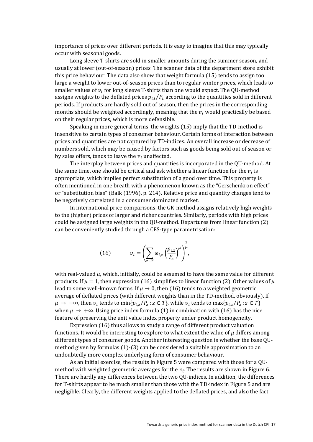importance of prices over different periods. It is easy to imagine that this may typically occur with seasonal goods.

Long sleeve T-shirts are sold in smaller amounts during the summer season, and usually at lower (out-of-season) prices. The scanner data of the department store exhibit this price behaviour. The data also show that weight formula  $(15)$  tends to assign too large a weight to lower out-of-season prices than to regular winter prices, which leads to smaller values of  $v_i$  for long sleeve T-shirts than one would expect. The QU-method assigns weights to the deflated prices  $p_{i,t}/P_t$  according to the quantities sold in different periods. If products are hardly sold out of season, then the prices in the corresponding months should be weighted accordingly, meaning that the  $v_i$  would practically be based on their regular prices, which is more defensible.

Speaking in more general terms, the weights  $(15)$  imply that the TD-method is insensitive to certain types of consumer behaviour. Certain forms of interaction between prices and quantities are not captured by TD-indices. An overall increase or decrease of numbers sold, which may be caused by factors such as goods being sold out of season or by sales offers, tends to leave the  $v_i$  unaffected.

The interplay between prices and quantities is incorporated in the QU-method. At the same time, one should be critical and ask whether a linear function for the  $v_i$  is appropriate, which implies perfect substitution of a good over time. This property is often mentioned in one breath with a phenomenon known as the "Gerschenkron effect" or "substitution bias" (Balk (1996), p. 214). Relative price and quantity changes tend to be negatively correlated in a consumer dominated market.

In international price comparisons, the GK-method assigns relatively high weights to the (higher) prices of larger and richer countries. Similarly, periods with high prices could be assigned large weights in the QU-method. Departures from linear function  $(2)$ can be conveniently studied through a CES-type parametrisation:

(16) 
$$
v_i = \left(\sum_{z \in T} \varphi_{i,z} \left(\frac{p_{i,z}}{P_z}\right)^{\mu}\right)^{\frac{1}{\mu}},
$$

with real-valued  $\mu$ , which, initially, could be assumed to have the same value for different products. If  $\mu = 1$ , then expression (16) simplifies to linear function (2). Other values of  $\mu$ lead to some well-known forms. If  $\mu \to 0$ , then (16) tends to a weighted geometric average of deflated prices (with different weights than in the TD-method, obviously). If  $\mu \to -\infty$ , then  $\nu_i$  tends to  $\min\{p_{i,z}/P_z : z \in T\}$ , while  $\nu_i$  tends to  $\max\{p_{i,z}/P_z : z \in T\}$ when  $\mu \rightarrow +\infty$ . Using price index formula (1) in combination with (16) has the nice feature of preserving the unit value index property under product homogeneity.

Expression (16) thus allows to study a range of different product valuation functions. It would be interesting to explore to what extent the value of  $\mu$  differs among different types of consumer goods. Another interesting question is whether the base QUmethod given by formulas  $(1)-(3)$  can be considered a suitable approximation to an undoubtedly more complex underlying form of consumer behaviour.

As an initial exercise, the results in Figure 5 were compared with those for a QUmethod with weighted geometric averages for the  $v_i$ . The results are shown in Figure 6. There are hardly any differences between the two OU-indices. In addition, the differences for T-shirts appear to be much smaller than those with the TD-index in Figure 5 and are negligible. Clearly, the different weights applied to the deflated prices, and also the fact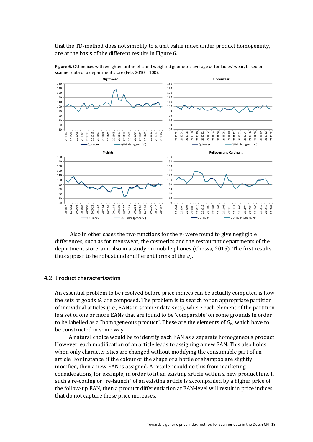that the TD-method does not simplify to a unit value index under product homogeneity, are at the basis of the different results in Figure 6.



**Figure 6.** QU-indices with weighted arithmetic and weighted geometric average  $v_i$  for ladies' wear, based on scanner data of a department store (Feb. 2010 = 100).

Also in other cases the two functions for the  $v_i$  were found to give negligible differences, such as for menswear, the cosmetics and the restaurant departments of the department store, and also in a study on mobile phones (Chessa, 2015). The first results thus appear to be robust under different forms of the  $v_i$ .

#### 4.2 Product characterisation

An essential problem to be resolved before price indices can be actually computed is how the sets of goods  $G_t$  are composed. The problem is to search for an appropriate partition of individual articles (i.e., EANs in scanner data sets), where each element of the partition is a set of one or more EANs that are found to be 'comparable' on some grounds in order to be labelled as a "homogeneous product". These are the elements of  $G_t$ , which have to be constructed in some way.

A natural choice would be to identify each EAN as a separate homogeneous product. However, each modification of an article leads to assigning a new EAN. This also holds when only characteristics are changed without modifying the consumable part of an article. For instance, if the colour or the shape of a bottle of shampoo are slightly modified, then a new EAN is assigned. A retailer could do this from marketing considerations, for example, in order to fit an existing article within a new product line. If such a re-coding or "re-launch" of an existing article is accompanied by a higher price of the follow-up EAN, then a product differentiation at EAN-level will result in price indices that do not capture these price increases.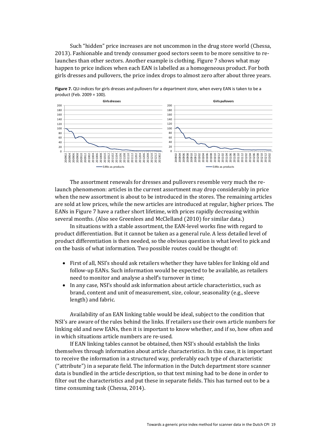Such "hidden" price increases are not uncommon in the drug store world (Chessa, 2013). Fashionable and trendy consumer good sectors seem to be more sensitive to relaunches than other sectors. Another example is clothing. Figure 7 shows what may happen to price indices when each EAN is labelled as a homogeneous product. For both girls dresses and pullovers, the price index drops to almost zero after about three years.



**Figure 7.** QU‐indices for girls dresses and pullovers for a department store, when every EAN is taken to be a product (Feb. 2009 = 100).

The assortment renewals for dresses and pullovers resemble very much the relaunch phenomenon: articles in the current assortment may drop considerably in price when the new assortment is about to be introduced in the stores. The remaining articles are sold at low prices, while the new articles are introduced at regular, higher prices. The EANs in Figure 7 have a rather short lifetime, with prices rapidly decreasing within several months. (Also see Greenlees and McClelland (2010) for similar data.)

In situations with a stable assortment, the EAN-level works fine with regard to product differentiation. But it cannot be taken as a general rule. A less detailed level of product differentiation is then needed, so the obvious question is what level to pick and on the basis of what information. Two possible routes could be thought of:

- First of all, NSI's should ask retailers whether they have tables for linking old and follow-up EANs. Such information would be expected to be available, as retailers need to monitor and analyse a shelf's turnover in time;
- In any case, NSI's should ask information about article characteristics, such as brand, content and unit of measurement, size, colour, seasonality (e.g., sleeve length) and fabric.

Availability of an EAN linking table would be ideal, subject to the condition that NSI's are aware of the rules behind the links. If retailers use their own article numbers for linking old and new EANs, then it is important to know whether, and if so, how often and in which situations article numbers are re-used.

If EAN linking tables cannot be obtained, then NSI's should establish the links themselves through information about article characteristics. In this case, it is important to receive the information in a structured way, preferably each type of characteristic  $("attribute")$  in a separate field. The information in the Dutch department store scanner data is bundled in the article description, so that text mining had to be done in order to filter out the characteristics and put these in separate fields. This has turned out to be a time consuming task (Chessa, 2014).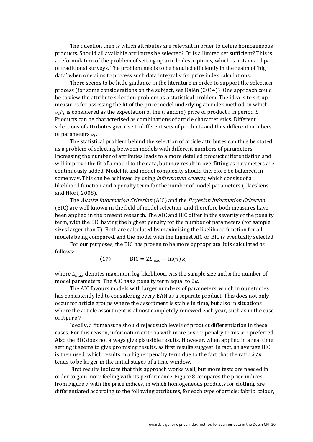The question then is which attributes are relevant in order to define homogeneous products. Should all available attributes be selected? Or is a limited set sufficient? This is a reformulation of the problem of setting up article descriptions, which is a standard part of traditional surveys. The problem needs to be handled efficiently in the realm of 'big data' when one aims to process such data integrally for price index calculations.

There seems to be little guidance in the literature in order to support the selection process (for some considerations on the subject, see Dalén  $(2014)$ ). One approach could be to view the attribute selection problem as a statistical problem. The idea is to set up measures for assessing the fit of the price model underlying an index method, in which  $v_i P_t$  is considered as the expectation of the (random) price of product *i* in period *t*. Products can be characterised as combinations of article characteristics. Different selections of attributes give rise to different sets of products and thus different numbers of parameters  $v_i$ .

The statistical problem behind the selection of article attributes can thus be stated as a problem of selecting between models with different numbers of parameters. Increasing the number of attributes leads to a more detailed product differentiation and will improve the fit of a model to the data, but may result in overfitting as parameters are continuously added. Model fit and model complexity should therefore be balanced in some way. This can be achieved by using *information criteria*, which consist of a likelihood function and a penalty term for the number of model parameters (Claeskens and Hiort, 2008).

The Akaike Information Criterion (AIC) and the Bayesian Information Criterion (BIC) are well known in the field of model selection, and therefore both measures have been applied in the present research. The AIC and BIC differ in the severity of the penalty term, with the BIC having the highest penalty for the number of parameters (for sample sizes larger than 7). Both are calculated by maximising the likelihood function for all models being compared, and the model with the highest AIC or BIC is eventually selected.

For our purposes, the BIC has proven to be more appropriate. It is calculated as follows: 

 $(17)$  BIC =  $2L_{\text{max}} - \ln(n) k$ ,

where  $L_{\text{max}}$  denotes maximum log-likelihood, *n* is the sample size and *k* the number of model parameters. The AIC has a penalty term equal to  $2k$ .

The AIC favours models with larger numbers of parameters, which in our studies has consistently led to considering every EAN as a separate product. This does not only occur for article groups where the assortment is stable in time, but also in situations where the article assortment is almost completely renewed each year, such as in the case of Figure 7.

Ideally, a fit measure should reject such levels of product differentiation in these cases. For this reason, information criteria with more severe penalty terms are preferred. Also the BIC does not always give plausible results. However, when applied in a real time setting it seems to give promising results, as first results suggest. In fact, an average BIC is then used, which results in a higher penalty term due to the fact that the ratio  $k/n$ tends to be larger in the initial stages of a time window.

First results indicate that this approach works well, but more tests are needed in order to gain more feeling with its performance. Figure 8 compares the price indices from Figure 7 with the price indices, in which homogeneous products for clothing are differentiated according to the following attributes, for each type of article: fabric, colour,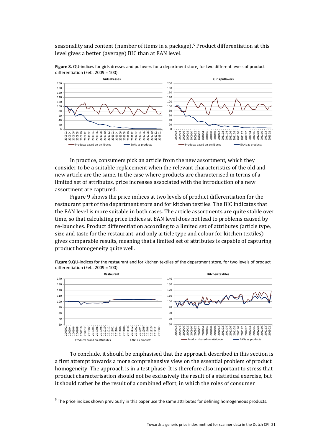seasonality and content (number of items in a package).<sup>5</sup> Product differentiation at this level gives a better (average) BIC than at EAN level.



Figure 8. QU-indices for girls dresses and pullovers for a department store, for two different levels of product differentiation (Feb. 2009 = 100).

In practice, consumers pick an article from the new assortment, which they consider to be a suitable replacement when the relevant characteristics of the old and new article are the same. In the case where products are characterised in terms of a limited set of attributes, price increases associated with the introduction of a new assortment are captured.

Figure 9 shows the price indices at two levels of product differentiation for the restaurant part of the department store and for kitchen textiles. The BIC indicates that the EAN level is more suitable in both cases. The article assortments are quite stable over time, so that calculating price indices at EAN level does not lead to problems caused by re-launches. Product differentiation according to a limited set of attributes (article type, size and taste for the restaurant, and only article type and colour for kitchen textiles) gives comparable results, meaning that a limited set of attributes is capable of capturing product homogeneity quite well.



**Figure 9.**QU‐indices for the restaurant and for kitchen textiles of the department store, for two levels of product differentiation (Feb. 2009 = 100).

To conclude, it should be emphasised that the approach described in this section is a first attempt towards a more comprehensive view on the essential problem of product homogeneity. The approach is in a test phase. It is therefore also important to stress that product characterisation should not be exclusively the result of a statistical exercise, but it should rather be the result of a combined effort, in which the roles of consumer

 $<sup>5</sup>$  The price indices shown previously in this paper use the same attributes for defining homogeneous products.</sup>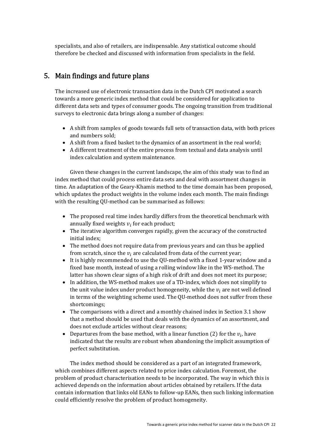specialists, and also of retailers, are indispensable. Any statistical outcome should therefore be checked and discussed with information from specialists in the field.

# 5. Main findings and future plans

The increased use of electronic transaction data in the Dutch CPI motivated a search towards a more generic index method that could be considered for application to different data sets and types of consumer goods. The ongoing transition from traditional surveys to electronic data brings along a number of changes:

- A shift from samples of goods towards full sets of transaction data, with both prices and numbers sold;
- A shift from a fixed basket to the dynamics of an assortment in the real world;
- A different treatment of the entire process from textual and data analysis until index calculation and system maintenance.

Given these changes in the current landscape, the aim of this study was to find an index method that could process entire data sets and deal with assortment changes in time. An adaptation of the Geary-Khamis method to the time domain has been proposed, which updates the product weights in the volume index each month. The main findings with the resulting QU-method can be summarised as follows:

- The proposed real time index hardly differs from the theoretical benchmark with annually fixed weights  $v_i$  for each product;
- The iterative algorithm converges rapidly, given the accuracy of the constructed initial index:
- The method does not require data from previous years and can thus be applied from scratch, since the  $v_i$  are calculated from data of the current year;
- It is highly recommended to use the QU-method with a fixed 1-year window and a fixed base month, instead of using a rolling window like in the WS-method. The latter has shown clear signs of a high risk of drift and does not meet its purpose;
- In addition, the WS-method makes use of a TD-index, which does not simplify to the unit value index under product homogeneity, while the  $v_i$  are not well defined in terms of the weighting scheme used. The QU-method does not suffer from these shortcomings;
- The comparisons with a direct and a monthly chained index in Section 3.1 show that a method should be used that deals with the dynamics of an assortment, and does not exclude articles without clear reasons;
- Departures from the base method, with a linear function (2) for the  $v_i$ , have indicated that the results are robust when abandoning the implicit assumption of perfect substitution.

The index method should be considered as a part of an integrated framework, which combines different aspects related to price index calculation. Foremost, the problem of product characterisation needs to be incorporated. The way in which this is achieved depends on the information about articles obtained by retailers. If the data contain information that links old EANs to follow-up EANs, then such linking information could efficiently resolve the problem of product homogeneity.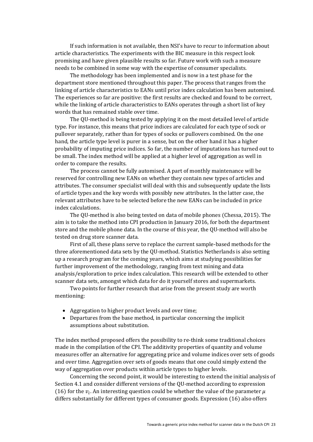If such information is not available, then NSI's have to recur to information about article characteristics. The experiments with the BIC measure in this respect look promising and have given plausible results so far. Future work with such a measure needs to be combined in some way with the expertise of consumer specialists.

The methodology has been implemented and is now in a test phase for the department store mentioned throughout this paper. The process that ranges from the linking of article characteristics to EANs until price index calculation has been automised. The experiences so far are positive: the first results are checked and found to be correct, while the linking of article characteristics to EANs operates through a short list of key words that has remained stable over time.

The QU-method is being tested by applying it on the most detailed level of article type. For instance, this means that price indices are calculated for each type of sock or pullover separately, rather than for types of socks or pullovers combined. On the one hand, the article type level is purer in a sense, but on the other hand it has a higher probability of imputing price indices. So far, the number of imputations has turned out to be small. The index method will be applied at a higher level of aggregation as well in order to compare the results.

The process cannot be fully automised. A part of monthly maintenance will be reserved for controlling new EANs on whether they contain new types of articles and attributes. The consumer specialist will deal with this and subsequently update the lists of article types and the key words with possibly new attributes. In the latter case, the relevant attributes have to be selected before the new EANs can be included in price index calculations. 

The QU-method is also being tested on data of mobile phones (Chessa, 2015). The aim is to take the method into CPI production in January 2016, for both the department store and the mobile phone data. In the course of this year, the QU-method will also be tested on drug store scanner data.

First of all, these plans serve to replace the current sample-based methods for the three aforementioned data sets by the QU-method. Statistics Netherlands is also setting up a research program for the coming years, which aims at studying possibilities for further improvement of the methodology, ranging from text mining and data analysis/exploration to price index calculation. This research will be extended to other scanner data sets, amongst which data for do it yourself stores and supermarkets.

Two points for further research that arise from the present study are worth mentioning: 

- Aggregation to higher product levels and over time;
- $\bullet$  Departures from the base method, in particular concerning the implicit assumptions about substitution.

The index method proposed offers the possibility to re-think some traditional choices made in the compilation of the CPI. The additivity properties of quantity and volume measures offer an alternative for aggregating price and volume indices over sets of goods and over time. Aggregation over sets of goods means that one could simply extend the way of aggregation over products within article types to higher levels.

Concerning the second point, it would be interesting to extend the initial analysis of Section 4.1 and consider different versions of the QU-method according to expression (16) for the  $v_i$ . An interesting question could be whether the value of the parameter  $\mu$ differs substantially for different types of consumer goods. Expression (16) also offers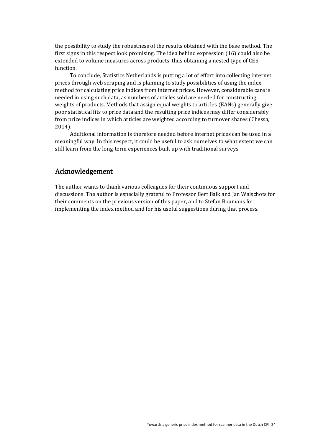the possibility to study the robustness of the results obtained with the base method. The first signs in this respect look promising. The idea behind expression  $(16)$  could also be extended to volume measures across products, thus obtaining a nested type of CESfunction. 

To conclude, Statistics Netherlands is putting a lot of effort into collecting internet prices through web scraping and is planning to study possibilities of using the index method for calculating price indices from internet prices. However, considerable care is needed in using such data, as numbers of articles sold are needed for constructing weights of products. Methods that assign equal weights to articles (EANs) generally give poor statistical fits to price data and the resulting price indices may differ considerably from price indices in which articles are weighted according to turnover shares (Chessa, 2014).

Additional information is therefore needed before internet prices can be used in a meaningful way. In this respect, it could be useful to ask ourselves to what extent we can still learn from the long-term experiences built up with traditional surveys.

# Acknowledgement

The author wants to thank various colleagues for their continuous support and discussions. The author is especially grateful to Professor Bert Balk and Jan Walschots for their comments on the previous version of this paper, and to Stefan Boumans for implementing the index method and for his useful suggestions during that process.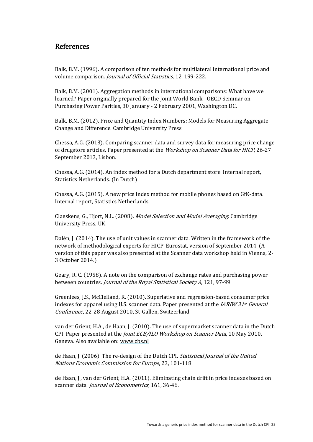# References

Balk, B.M. (1996). A comparison of ten methods for multilateral international price and volume comparison. *Journal of Official Statistics*, 12, 199-222.

Balk, B.M. (2001). Aggregation methods in international comparisons: What have we learned? Paper originally prepared for the Joint World Bank - OECD Seminar on Purchasing Power Parities, 30 January - 2 February 2001, Washington DC.

Balk, B.M. (2012). Price and Quantity Index Numbers: Models for Measuring Aggregate Change and Difference. Cambridge University Press.

Chessa, A.G. (2013). Comparing scanner data and survey data for measuring price change of drugstore articles. Paper presented at the Workshop on Scanner Data for HICP, 26-27 September 2013, Lisbon.

Chessa, A.G. (2014). An index method for a Dutch department store. Internal report, Statistics Netherlands. (In Dutch)

Chessa, A.G. (2015). A new price index method for mobile phones based on GfK-data. Internal report, Statistics Netherlands.

Claeskens, G., Hjort, N.L. (2008). *Model Selection and Model Averaging*. Cambridge University Press, UK.

Dalén, J. (2014). The use of unit values in scanner data. Written in the framework of the network of methodological experts for HICP. Eurostat, version of September 2014. (A version of this paper was also presented at the Scanner data workshop held in Vienna, 2-3 October 2014.)

Geary, R. C.  $(1958)$ . A note on the comparison of exchange rates and purchasing power between countries. *Journal of the Royal Statistical Society A*, 121, 97-99.

Greenlees, J.S., McClelland, R. (2010). Superlative and regression-based consumer price indexes for apparel using U.S. scanner data. Paper presented at the  $\textit{IARIW}\textit{31st}$  General Conference, 22-28 August 2010, St-Gallen, Switzerland.

van der Grient, H.A., de Haan, J. (2010). The use of supermarket scanner data in the Dutch CPI. Paper presented at the *Joint ECE/ILO Workshop on Scanner Data*, 10 May 2010, Geneva. Also available on: www.cbs.nl

de Haan, J. (2006). The re-design of the Dutch CPI. Statistical Journal of the United Nations Economic Commission for Europe, 23, 101-118.

de Haan, J., van der Grient, H.A. (2011). Eliminating chain drift in price indexes based on scanner data. Journal of Econometrics, 161, 36-46.